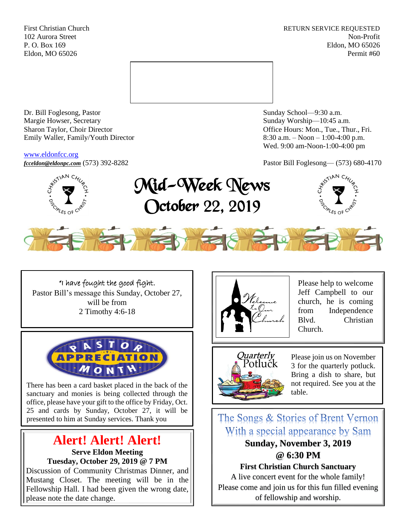First Christian Church **RETURN SERVICE REQUESTED** 102 Aurora Street Non-Profit P. O. Box 169 Eldon, MO 65026 Eldon, MO 65026 Permit #60



Dr. Bill Foglesong, Pastor Sunday School—9:30 a.m. Margie Howser, Secretary Sunday Worship—10:45 a.m. Sharon Taylor, Choir Director **Channel Controllering Controllering Controllering Controllering Controllering Controllering Controllering Controllering Controllering Controllering Controllering Controllering Controllering C** Emily Waller, Family/Youth Director 8:30 a.m. – Noon – 1:00-4:00 p.m.

### [www.eldonfcc.org](http://www.eldonfcc.org/)

Wed. 9:00 am-Noon-1:00-4:00 pm



*[fcceldon@eldonpc.com](mailto:fcceldon@eldonpc.com)* (573) 392-8282 Pastor Bill Foglesong— (573) 680-4170<br>  $\delta^{5}$   $\approx$   $\int_{0}^{\infty}$  **Mid-Week Monre** Mid-Week News October 22, 2019





"I have fought the good fight. Pastor Bill's message this Sunday, October 27, will be from 2 Timothy 4:6-18



There has been a card basket placed in the back of the sanctuary and monies is being collected through the office, please have your gift to the office by Friday, Oct. 25 and cards by Sunday, October 27, it will be presented to him at Sunday services. Thank you

# **Alert! Alert! Alert! Serve Eldon Meeting**

**Tuesday, October 29, 2019 @ 7 PM**

Discussion of Community Christmas Dinner, and Mustang Closet. The meeting will be in the Fellowship Hall. I had been given the wrong date, please note the date change.



Please help to welcome Jeff Campbell to our church, he is coming from Independence Blvd. Christian Church.



Please join us on November 3 for the quarterly potluck. Bring a dish to share, but not required. See you at the table.

The Songs & Stories of Brent Vernon With a special appearance by Sam **Sunday, November 3, 2019 @ 6:30 PM First Christian Church Sanctuary** A live concert event for the whole family!

Please come and join us for this fun filled evening of fellowship and worship.